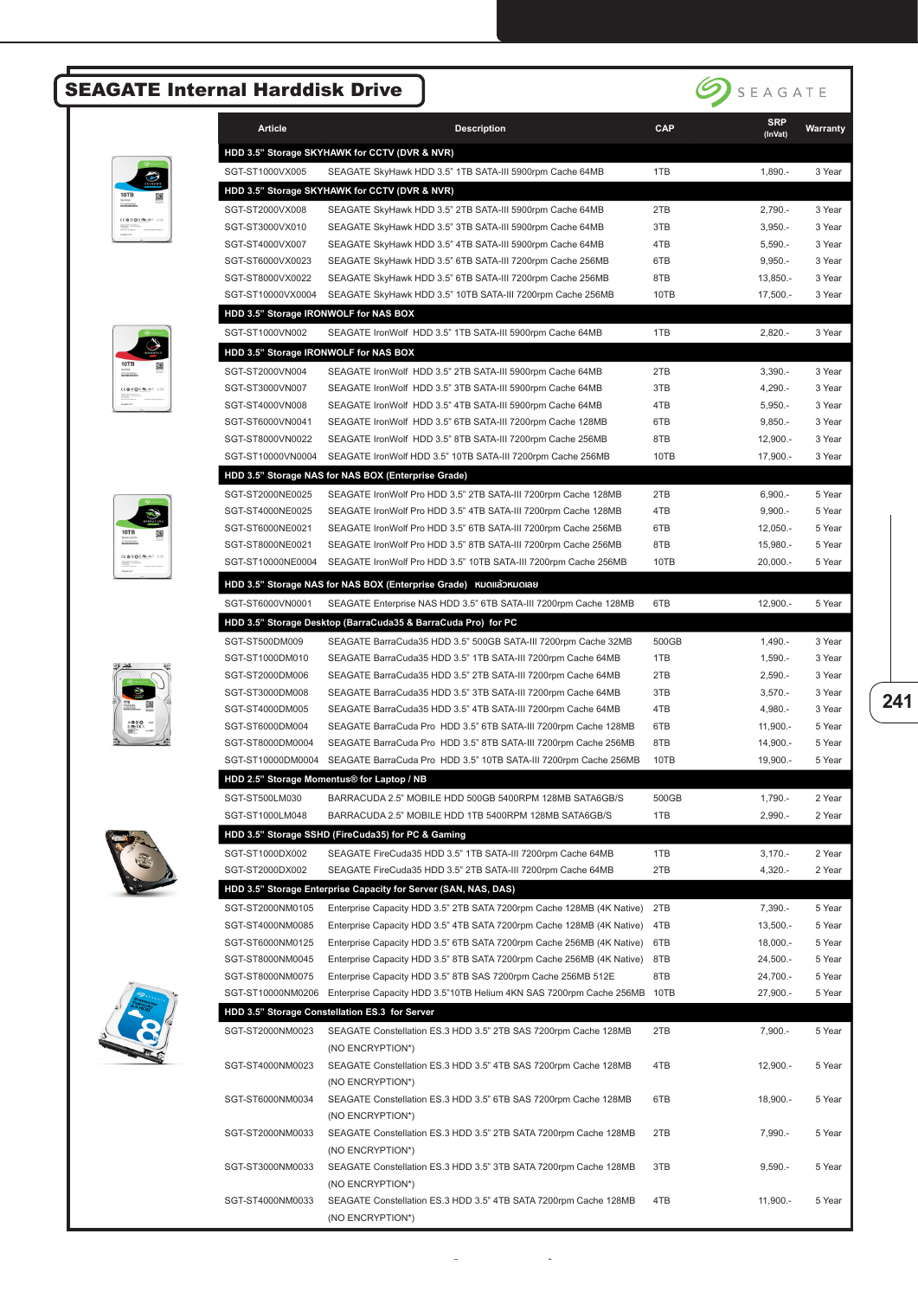## SEAGATE Internal Harddisk Drive



|                                                                       | <b>CTHA</b> |
|-----------------------------------------------------------------------|-------------|
| 10TB<br><b>Stuffent</b><br>------------<br>------------               | _           |
| <b>CEOSOFIN-AT SID</b><br><b>Statement Ave.a</b><br><b>CONTRACTOR</b> |             |











| <b>Article</b>                        | <b>Description</b>                                                                                                                        | CAP        | <b>SRP</b><br>(InVat)    | <b>Warranty</b>  |
|---------------------------------------|-------------------------------------------------------------------------------------------------------------------------------------------|------------|--------------------------|------------------|
|                                       | HDD 3.5" Storage SKYHAWK for CCTV (DVR & NVR)                                                                                             |            |                          |                  |
| SGT-ST1000VX005                       | SEAGATE SkyHawk HDD 3.5" 1TB SATA-III 5900rpm Cache 64MB                                                                                  | 1TB        | $1,890. -$               | 3 Year           |
|                                       | HDD 3.5" Storage SKYHAWK for CCTV (DVR & NVR)                                                                                             |            |                          |                  |
| SGT-ST2000VX008                       | SEAGATE SkyHawk HDD 3.5" 2TB SATA-III 5900rpm Cache 64MB                                                                                  | 2TB        | $2,790. -$               | 3 Year           |
| SGT-ST3000VX010                       | SEAGATE SkyHawk HDD 3.5" 3TB SATA-III 5900rpm Cache 64MB                                                                                  | 3TB        | $3,950. -$               | 3 Year           |
| SGT-ST4000VX007                       | SEAGATE SkyHawk HDD 3.5" 4TB SATA-III 5900rpm Cache 64MB                                                                                  | 4TB        | $5,590. -$               | 3 Year           |
| SGT-ST6000VX0023                      | SEAGATE SkyHawk HDD 3.5" 6TB SATA-III 7200rpm Cache 256MB                                                                                 | 6TB        | $9,950. -$               | 3 Year           |
| SGT-ST8000VX0022                      | SEAGATE SkyHawk HDD 3.5" 6TB SATA-III 7200rpm Cache 256MB                                                                                 | 8TB        | 13,850.-                 | 3 Year           |
| SGT-ST10000VX0004                     | SEAGATE SkyHawk HDD 3.5" 10TB SATA-III 7200rpm Cache 256MB                                                                                | 10TB       | $17,500. -$              | 3 Year           |
|                                       | HDD 3.5" Storage IRONWOLF for NAS BOX                                                                                                     |            |                          |                  |
| SGT-ST1000VN002                       | SEAGATE IronWolf HDD 3.5" 1TB SATA-III 5900rpm Cache 64MB                                                                                 | 1TB        | $2,820. -$               | 3 Year           |
|                                       | HDD 3.5" Storage IRONWOLF for NAS BOX                                                                                                     |            |                          |                  |
| SGT-ST2000VN004                       | SEAGATE IronWolf HDD 3.5" 2TB SATA-III 5900rpm Cache 64MB                                                                                 | 2TB        | $3,390. -$               | 3 Year           |
| SGT-ST3000VN007                       | SEAGATE IronWolf HDD 3.5" 3TB SATA-III 5900rpm Cache 64MB                                                                                 | 3TB        | 4,290.-                  | 3 Year           |
| SGT-ST4000VN008<br>SGT-ST6000VN0041   | SEAGATE IronWolf HDD 3.5" 4TB SATA-III 5900rpm Cache 64MB<br>SEAGATE IronWolf HDD 3.5" 6TB SATA-III 7200rpm Cache 128MB                   | 4TB<br>6TB | $5,950. -$<br>$9,850. -$ | 3 Year<br>3 Year |
| SGT-ST8000VN0022                      | SEAGATE IronWolf HDD 3.5" 8TB SATA-III 7200rpm Cache 256MB                                                                                | 8TB        | $12,900. -$              | 3 Year           |
| SGT-ST10000VN0004                     | SEAGATE IronWolf HDD 3.5" 10TB SATA-III 7200rpm Cache 256MB                                                                               | 10TB       | 17,900.-                 | 3 Year           |
|                                       | HDD 3.5" Storage NAS for NAS BOX (Enterprise Grade)                                                                                       |            |                          |                  |
| SGT-ST2000NE0025                      | SEAGATE IronWolf Pro HDD 3.5" 2TB SATA-III 7200rpm Cache 128MB                                                                            | 2TB        | $6,900. -$               | 5 Year           |
| SGT-ST4000NE0025                      | SEAGATE IronWolf Pro HDD 3.5" 4TB SATA-III 7200rpm Cache 128MB                                                                            | 4TB        | $9,900. -$               | 5 Year           |
| SGT-ST6000NE0021                      | SEAGATE IronWolf Pro HDD 3.5" 6TB SATA-III 7200rpm Cache 256MB                                                                            | 6TB        | $12,050. -$              | 5 Year           |
| SGT-ST8000NE0021                      | SEAGATE IronWolf Pro HDD 3.5" 8TB SATA-III 7200rpm Cache 256MB                                                                            | 8TB        | 15,980.-                 | 5 Year           |
| SGT-ST10000NE0004                     | SEAGATE IronWolf Pro HDD 3.5" 10TB SATA-III 7200rpm Cache 256MB                                                                           | 10TB       | 20,000.-                 | 5 Year           |
|                                       | HDD 3.5" Storage NAS for NAS BOX (Enterprise Grade) หมดแล้วหมดเลย                                                                         |            |                          |                  |
| SGT-ST6000VN0001                      | SEAGATE Enterprise NAS HDD 3.5" 6TB SATA-III 7200rpm Cache 128MB                                                                          | 6TB        | $12,900. -$              | 5 Year           |
|                                       | HDD 3.5" Storage Desktop (BarraCuda35 & BarraCuda Pro) for PC                                                                             |            |                          |                  |
| SGT-ST500DM009                        | SEAGATE BarraCuda35 HDD 3.5" 500GB SATA-III 7200rpm Cache 32MB                                                                            | 500GB      | $1,490. -$               | 3 Year           |
| SGT-ST1000DM010                       | SEAGATE BarraCuda35 HDD 3.5" 1TB SATA-III 7200rpm Cache 64MB                                                                              | 1TB        | $1,590. -$               | 3 Year           |
| SGT-ST2000DM006                       | SEAGATE BarraCuda35 HDD 3.5" 2TB SATA-III 7200rpm Cache 64MB                                                                              | 2TB        | $2,590. -$               | 3 Year           |
| SGT-ST3000DM008                       | SEAGATE BarraCuda35 HDD 3.5" 3TB SATA-III 7200rpm Cache 64MB                                                                              | 3TB        | $3,570. -$               | 3 Year           |
| SGT-ST4000DM005                       | SEAGATE BarraCuda35 HDD 3.5" 4TB SATA-III 7200rpm Cache 64MB                                                                              | 4TB        | 4,980.-                  | 3 Year           |
| SGT-ST6000DM004                       | SEAGATE BarraCuda Pro HDD 3.5" 6TB SATA-III 7200rpm Cache 128MB                                                                           | 6TB        | $11,900. -$              | 5 Year           |
| SGT-ST8000DM0004                      | SEAGATE BarraCuda Pro HDD 3.5" 8TB SATA-III 7200rpm Cache 256MB                                                                           | 8TB        | 14,900.-                 | 5 Year           |
| SGT-ST10000DM0004                     | SEAGATE BarraCuda Pro HDD 3.5" 10TB SATA-III 7200rpm Cache 256MB                                                                          | 10TB       | 19,900.-                 | 5 Year           |
|                                       | HDD 2.5" Storage Momentus® for Laptop / NB                                                                                                |            |                          |                  |
| SGT-ST500LM030                        | BARRACUDA 2.5" MOBILE HDD 500GB 5400RPM 128MB SATA6GB/S                                                                                   | 500GB      | 1,790.-                  | 2 Year           |
| SGT-ST1000LM048                       | BARRACUDA 2.5" MOBILE HDD 1TB 5400RPM 128MB SATA6GB/S                                                                                     | 1TB        | 2,990.-                  | 2 Year           |
|                                       | HDD 3.5" Storage SSHD (FireCuda35) for PC & Gaming                                                                                        |            |                          |                  |
| SGT-ST1000DX002                       | SEAGATE FireCuda35 HDD 3.5" 1TB SATA-III 7200rpm Cache 64MB                                                                               | 1TB        | $3,170. -$               | 2 Year           |
| SGT-ST2000DX002                       | SEAGATE FireCuda35 HDD 3.5" 2TB SATA-III 7200rpm Cache 64MB                                                                               | 2TB        | 4,320.-                  | 2 Year           |
|                                       | HDD 3.5" Storage Enterprise Capacity for Server (SAN, NAS, DAS)                                                                           |            |                          |                  |
| SGT-ST2000NM0105                      | Enterprise Capacity HDD 3.5" 2TB SATA 7200rpm Cache 128MB (4K Native)                                                                     | 2TB        | $7,390. -$               | 5 Year           |
| SGT-ST4000NM0085                      | Enterprise Capacity HDD 3.5" 4TB SATA 7200rpm Cache 128MB (4K Native)                                                                     | 4TB        | $13,500. -$              | 5 Year           |
| SGT-ST6000NM0125                      | Enterprise Capacity HDD 3.5" 6TB SATA 7200rpm Cache 256MB (4K Native)                                                                     | 6TB        | $18,000. -$              | 5 Year           |
| SGT-ST8000NM0045                      | Enterprise Capacity HDD 3.5" 8TB SATA 7200rpm Cache 256MB (4K Native)                                                                     | 8TB        | $24,500. -$              | 5 Year           |
| SGT-ST8000NM0075<br>SGT-ST10000NM0206 | Enterprise Capacity HDD 3.5" 8TB SAS 7200rpm Cache 256MB 512E<br>Enterprise Capacity HDD 3.5"10TB Helium 4KN SAS 7200rpm Cache 256MB 10TB | 8TB        | 24,700.-<br>27,900.-     | 5 Year<br>5 Year |
|                                       |                                                                                                                                           |            |                          |                  |
|                                       | HDD 3.5" Storage Constellation ES.3 for Server                                                                                            |            |                          |                  |
| SGT-ST2000NM0023                      | SEAGATE Constellation ES.3 HDD 3.5" 2TB SAS 7200rpm Cache 128MB<br>(NO ENCRYPTION*)                                                       | 2TB        | $7,900. -$               | 5 Year           |
| SGT-ST4000NM0023                      | SEAGATE Constellation ES.3 HDD 3.5" 4TB SAS 7200rpm Cache 128MB                                                                           | 4TB        | 12,900.-                 | 5 Year           |
|                                       | (NO ENCRYPTION*)                                                                                                                          |            |                          |                  |
| SGT-ST6000NM0034                      | SEAGATE Constellation ES.3 HDD 3.5" 6TB SAS 7200rpm Cache 128MB                                                                           | 6TB        | 18,900.-                 | 5 Year           |
|                                       | (NO ENCRYPTION*)                                                                                                                          |            |                          |                  |
| SGT-ST2000NM0033                      | SEAGATE Constellation ES.3 HDD 3.5" 2TB SATA 7200rpm Cache 128MB                                                                          | 2TB        | 7,990.-                  | 5 Year           |
|                                       | (NO ENCRYPTION*)                                                                                                                          |            |                          |                  |
| SGT-ST3000NM0033                      | SEAGATE Constellation ES.3 HDD 3.5" 3TB SATA 7200rpm Cache 128MB                                                                          | 3TB        | $9,590. -$               | 5 Year           |
|                                       | (NO ENCRYPTION*)                                                                                                                          |            |                          |                  |
| SGT-ST4000NM0033                      | SEAGATE Constellation ES.3 HDD 3.5" 4TB SATA 7200rpm Cache 128MB                                                                          | 4TB        | $11,900. -$              | 5 Year           |
|                                       | (NO ENCRYPTION*)                                                                                                                          |            |                          |                  |

ิ ้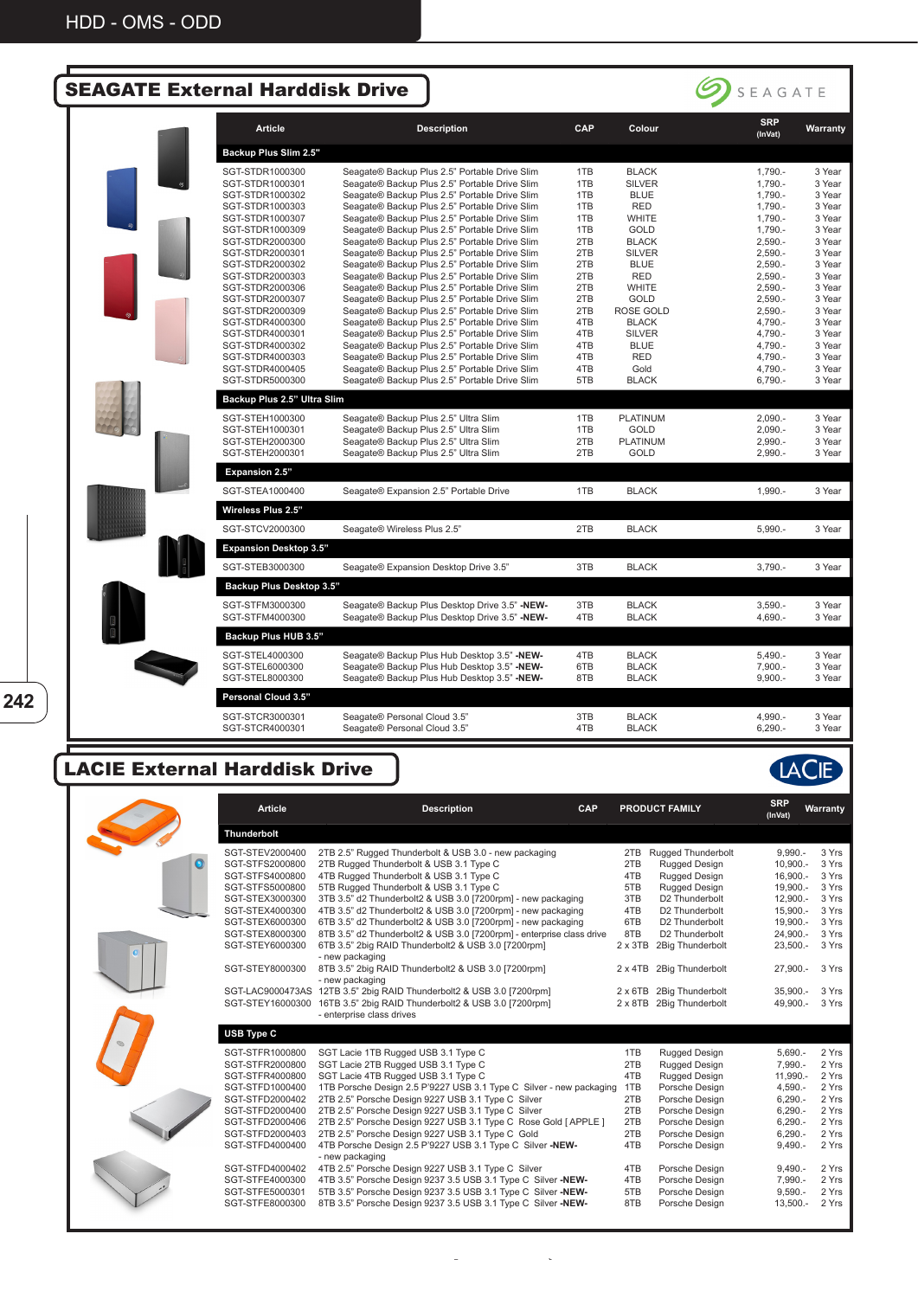| <b>SEAGATE External Harddisk Drive</b> |                                    |                                                                                                |            |                      | $\sum$ SEAGATE        |                  |
|----------------------------------------|------------------------------------|------------------------------------------------------------------------------------------------|------------|----------------------|-----------------------|------------------|
|                                        | <b>Article</b>                     | <b>Description</b>                                                                             | <b>CAP</b> | Colour               | <b>SRP</b><br>(InVat) | Warranty         |
|                                        | Backup Plus Slim 2.5"              |                                                                                                |            |                      |                       |                  |
|                                        | SGT-STDR1000300                    | Seagate® Backup Plus 2.5" Portable Drive Slim                                                  | 1TB        | <b>BLACK</b>         | 1,790.-               | 3 Year           |
|                                        | SGT-STDR1000301                    | Seagate® Backup Plus 2.5" Portable Drive Slim                                                  | 1TB        | <b>SILVER</b>        | $1,790. -$            | 3 Year           |
|                                        | SGT-STDR1000302                    | Seagate® Backup Plus 2.5" Portable Drive Slim                                                  | 1TB        | <b>BLUE</b>          | 1,790.-               | 3 Year           |
|                                        | SGT-STDR1000303                    | Seagate® Backup Plus 2.5" Portable Drive Slim                                                  | 1TB        | <b>RED</b>           | 1,790.-               | 3 Year           |
|                                        | SGT-STDR1000307<br>SGT-STDR1000309 | Seagate® Backup Plus 2.5" Portable Drive Slim                                                  | 1TB<br>1TB | <b>WHITE</b><br>GOLD | 1,790.-<br>$1,790. -$ | 3 Year<br>3 Year |
|                                        | SGT-STDR2000300                    | Seagate® Backup Plus 2.5" Portable Drive Slim<br>Seagate® Backup Plus 2.5" Portable Drive Slim | 2TB        | <b>BLACK</b>         | $2,590. -$            | 3 Year           |
|                                        | SGT-STDR2000301                    | Seagate® Backup Plus 2.5" Portable Drive Slim                                                  | 2TB        | <b>SILVER</b>        | $2,590. -$            | 3 Year           |
|                                        | SGT-STDR2000302                    | Seagate® Backup Plus 2.5" Portable Drive Slim                                                  | 2TB        | <b>BLUE</b>          | $2,590. -$            | 3 Year           |
|                                        | SGT-STDR2000303                    | Seagate® Backup Plus 2.5" Portable Drive Slim                                                  | 2TB        | <b>RED</b>           | $2,590. -$            | 3 Year           |
|                                        | SGT-STDR2000306                    | Seagate® Backup Plus 2.5" Portable Drive Slim                                                  | 2TB        | <b>WHITE</b>         | $2,590. -$            | 3 Year           |
|                                        | SGT-STDR2000307                    | Seagate® Backup Plus 2.5" Portable Drive Slim                                                  | 2TB        | <b>GOLD</b>          | $2,590. -$            | 3 Year           |
|                                        | SGT-STDR2000309                    | Seagate® Backup Plus 2.5" Portable Drive Slim                                                  | 2TB        | <b>ROSE GOLD</b>     | $2,590. -$            | 3 Year           |
|                                        | SGT-STDR4000300                    | Seagate® Backup Plus 2.5" Portable Drive Slim                                                  | 4TB        | <b>BLACK</b>         | 4,790.-               | 3 Year           |
|                                        | SGT-STDR4000301                    | Seagate® Backup Plus 2.5" Portable Drive Slim                                                  | 4TB        | <b>SILVER</b>        | 4,790.-               | 3 Year           |
|                                        | SGT-STDR4000302                    | Seagate® Backup Plus 2.5" Portable Drive Slim                                                  | 4TB        | <b>BLUE</b>          | 4,790.-               | 3 Year           |
|                                        | SGT-STDR4000303                    | Seagate® Backup Plus 2.5" Portable Drive Slim                                                  | 4TB        | <b>RED</b>           | 4,790.-               | 3 Year           |
|                                        | SGT-STDR4000405                    | Seagate® Backup Plus 2.5" Portable Drive Slim                                                  | 4TB        | Gold                 | 4,790.-               | 3 Year           |
|                                        | SGT-STDR5000300                    | Seagate® Backup Plus 2.5" Portable Drive Slim                                                  | 5TB        | <b>BLACK</b>         | $6,790. -$            | 3 Year           |
|                                        | Backup Plus 2.5" Ultra Slim        |                                                                                                |            |                      |                       |                  |
|                                        | SGT-STEH1000300                    | Seagate® Backup Plus 2.5" Ultra Slim                                                           | 1TB        | <b>PLATINUM</b>      | $2.090 -$             | 3 Year           |
|                                        | SGT-STEH1000301                    | Seagate® Backup Plus 2.5" Ultra Slim                                                           | 1TB        | GOLD                 | $2,090. -$            | 3 Year           |
|                                        | SGT-STEH2000300                    | Seagate® Backup Plus 2.5" Ultra Slim                                                           | 2TB        | <b>PLATINUM</b>      | $2,990. -$            | 3 Year           |
|                                        | SGT-STEH2000301                    | Seagate® Backup Plus 2.5" Ultra Slim                                                           | 2TB        | <b>GOLD</b>          | $2,990. -$            | 3 Year           |
|                                        | Expansion 2.5"                     |                                                                                                |            |                      |                       |                  |
|                                        | SGT-STEA1000400                    | Seagate® Expansion 2.5" Portable Drive                                                         | 1TB        | <b>BLACK</b>         | $1,990. -$            | 3 Year           |
|                                        | Wireless Plus 2.5"                 |                                                                                                |            |                      |                       |                  |
|                                        | SGT-STCV2000300                    | Seagate® Wireless Plus 2.5"                                                                    | 2TB        | <b>BLACK</b>         | $5,990. -$            | 3 Year           |
|                                        | <b>Expansion Desktop 3.5"</b>      |                                                                                                |            |                      |                       |                  |
|                                        | SGT-STEB3000300                    | Seagate® Expansion Desktop Drive 3.5"                                                          | 3TB        | <b>BLACK</b>         | $3,790. -$            | 3 Year           |
|                                        | Backup Plus Desktop 3.5"           |                                                                                                |            |                      |                       |                  |
|                                        | SGT-STFM3000300                    | Seagate® Backup Plus Desktop Drive 3.5" -NEW-                                                  | 3TB        | <b>BLACK</b>         | $3,590. -$            | 3 Year           |
|                                        | SGT-STFM4000300                    | Seagate® Backup Plus Desktop Drive 3.5" -NEW-                                                  | 4TB        | <b>BLACK</b>         | 4,690.-               | 3 Year           |
|                                        | Backup Plus HUB 3.5"               |                                                                                                |            |                      |                       |                  |
|                                        |                                    |                                                                                                |            |                      |                       |                  |
|                                        | SGT-STEL4000300                    | Seagate® Backup Plus Hub Desktop 3.5" -NEW-                                                    | 4TB        | <b>BLACK</b>         | $5,490. -$            | 3 Year           |
|                                        | SGT-STEL6000300                    | Seagate® Backup Plus Hub Desktop 3.5" -NEW-                                                    | 6TB        | <b>BLACK</b>         | 7,900.-               | 3 Year           |
|                                        | SGT-STEL8000300                    | Seagate® Backup Plus Hub Desktop 3.5" -NEW-                                                    | 8TB        | <b>BLACK</b>         | $9,900. -$            | 3 Year           |
|                                        | Personal Cloud 3.5"                |                                                                                                |            |                      |                       |                  |
|                                        | SGT-STCR3000301                    | Seagate® Personal Cloud 3.5"                                                                   | 3TB        | <b>BLACK</b>         | 4,990.-               | 3 Year           |
|                                        | SGT-STCR4000301                    | Seagate® Personal Cloud 3.5"                                                                   | 4TB        | <b>BLACK</b>         | $6,290. -$            | 3 Year           |

## LACIE External Harddisk Drive

| Article            | <b>Description</b><br><b>CAP</b>                                             |                | <b>PRODUCT FAMILY</b>    | <b>SRP</b><br>(InVat) | Warranty |
|--------------------|------------------------------------------------------------------------------|----------------|--------------------------|-----------------------|----------|
| <b>Thunderbolt</b> |                                                                              |                |                          |                       |          |
| SGT-STEV2000400    | 2TB 2.5" Rugged Thunderbolt & USB 3.0 - new packaging                        |                | 2TB Rugged Thunderbolt   | $9,990. -$            | 3 Yrs    |
| SGT-STFS2000800    | 2TB Rugged Thunderbolt & USB 3.1 Type C                                      | 2TB            | Rugged Design            | $10,900. -$           | 3 Yrs    |
| SGT-STFS4000800    | 4TB Rugged Thunderbolt & USB 3.1 Type C                                      | 4TB            | Rugged Design            | 16,900.-              | 3 Yrs    |
| SGT-STFS5000800    | 5TB Rugged Thunderbolt & USB 3.1 Type C                                      | 5TB            | Rugged Design            | 19,900.-              | 3 Yrs    |
| SGT-STEX3000300    | 3TB 3.5" d2 Thunderbolt2 & USB 3.0 [7200rpm] - new packaging                 | 3TB            | D2 Thunderbolt           | 12,900.-              | 3 Yrs    |
| SGT-STEX4000300    | 4TB 3.5" d2 Thunderbolt2 & USB 3.0 [7200rpm] - new packaging                 | 4TB            | D2 Thunderbolt           | $15,900. -$           | 3 Yrs    |
| SGT-STEX6000300    | 6TB 3.5" d2 Thunderbolt2 & USB 3.0 [7200rpm] - new packaging                 | 6TB            | D2 Thunderbolt           | 19,900.-              | 3 Yrs    |
| SGT-STEX8000300    | 8TB 3.5" d2 Thunderbolt2 & USB 3.0 [7200rpm] - enterprise class drive        | 8TB            | D2 Thunderbolt           | 24,900.-              | 3 Yrs    |
| SGT-STEY6000300    | 6TB 3.5" 2big RAID Thunderbolt2 & USB 3.0 [7200rpm]<br>- new packaging       | $2 \times 3TB$ | 2Big Thunderbolt         | $23,500. -$           | 3 Yrs    |
| SGT-STEY8000300    | 8TB 3.5" 2big RAID Thunderbolt2 & USB 3.0 [7200rpm]<br>- new packaging       |                | 2 x 4TB 2Big Thunderbolt | 27,900.-              | 3 Yrs    |
|                    | SGT-LAC9000473AS 12TB 3.5" 2big RAID Thunderbolt2 & USB 3.0 [7200rpm]        |                | 2 x 6TB 2Big Thunderbolt | $35,900. -$           | 3 Yrs    |
| SGT-STEY16000300   | 16TB 3.5" 2big RAID Thunderbolt2 & USB 3.0 [7200rpm]                         |                | 2 x 8TB 2Big Thunderbolt | 49,900.-              | 3 Yrs    |
|                    | - enterprise class drives                                                    |                |                          |                       |          |
| USB Type C         |                                                                              |                |                          |                       |          |
| SGT-STFR1000800    | SGT Lacie 1TB Rugged USB 3.1 Type C                                          | 1TB            | Rugged Design            | 5,690.-               | 2 Yrs    |
| SGT-STFR2000800    | SGT Lacie 2TB Rugged USB 3.1 Type C                                          | 2TB            | Rugged Design            | 7,990.-               | 2 Yrs    |
| SGT-STFR4000800    | SGT Lacie 4TB Rugged USB 3.1 Type C                                          | 4TB            | <b>Rugged Design</b>     | 11,990.-              | 2 Yrs    |
| SGT-STFD1000400    | 1TB Porsche Design 2.5 P'9227 USB 3.1 Type C Silver - new packaging          | 1TB            | Porsche Design           | $4,590. -$            | 2 Yrs    |
| SGT-STFD2000402    | 2TB 2.5" Porsche Design 9227 USB 3.1 Type C Silver                           | 2TB            | Porsche Design           | $6,290. -$            | 2 Yrs    |
| SGT-STFD2000400    | 2TB 2.5" Porsche Design 9227 USB 3.1 Type C Silver                           | 2TB            | Porsche Design           | $6,290. -$            | 2 Yrs    |
| SGT-STFD2000406    | 2TB 2.5" Porsche Design 9227 USB 3.1 Type C Rose Gold [APPLE]                | 2TB            | Porsche Design           | $6,290. -$            | 2 Yrs    |
| SGT-STFD2000403    | 2TB 2.5" Porsche Design 9227 USB 3.1 Type C Gold                             | 2TB            | Porsche Design           | $6,290. -$            | 2 Yrs    |
| SGT-STFD4000400    | 4TB Porsche Design 2.5 P'9227 USB 3.1 Type C Silver -NEW-<br>- new packaging | 4TB            | Porsche Design           | $9,490. -$            | 2 Yrs    |
| SGT-STFD4000402    | 4TB 2.5" Porsche Design 9227 USB 3.1 Type C Silver                           | 4TB            | Porsche Design           | $9,490. -$            | 2 Yrs    |
| SGT-STFE4000300    | 4TB 3.5" Porsche Design 9237 3.5 USB 3.1 Type C Silver -NEW-                 | 4TB            | Porsche Design           | 7,990.-               | 2 Yrs    |
| SGT-STFE5000301    | 5TB 3.5" Porsche Design 9237 3.5 USB 3.1 Type C Silver -NEW-                 | 5TB            | Porsche Design           | $9,590. -$            | 2 Yrs    |
| SGT-STFE8000300    | 8TB 3.5" Porsche Design 9237 3.5 USB 3.1 Type C Silver -NEW-                 | 8TB            | Porsche Design           | $13,500. -$           | 2 Yrs    |

ิ ้

**242**

LACIE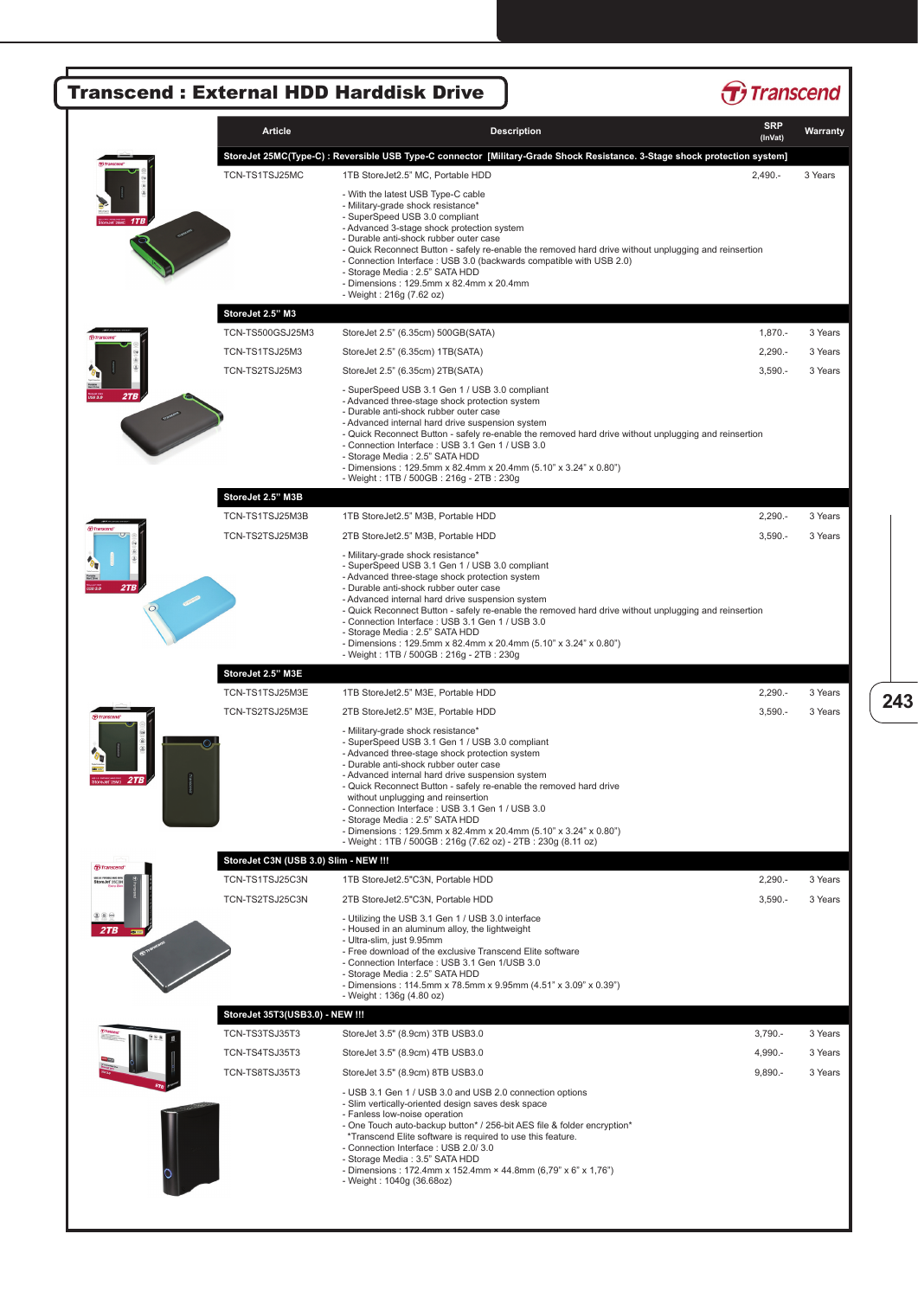|     |                                       |                                                                                                                                                                                                                                                                                                                                                                                                                                                                                                                                                                                                                | <b>SRP</b> |          |
|-----|---------------------------------------|----------------------------------------------------------------------------------------------------------------------------------------------------------------------------------------------------------------------------------------------------------------------------------------------------------------------------------------------------------------------------------------------------------------------------------------------------------------------------------------------------------------------------------------------------------------------------------------------------------------|------------|----------|
|     | Article                               | <b>Description</b>                                                                                                                                                                                                                                                                                                                                                                                                                                                                                                                                                                                             | (InVat)    | Warranty |
|     | TCN-TS1TSJ25MC                        | StoreJet 25MC(Type-C) : Reversible USB Type-C connector [Military-Grade Shock Resistance. 3-Stage shock protection system]<br>1TB StoreJet2.5" MC, Portable HDD                                                                                                                                                                                                                                                                                                                                                                                                                                                | $2,490. -$ | 3 Years  |
|     |                                       | - With the latest USB Type-C cable<br>- Military-grade shock resistance*<br>- SuperSpeed USB 3.0 compliant<br>- Advanced 3-stage shock protection system<br>- Durable anti-shock rubber outer case<br>- Quick Reconnect Button - safely re-enable the removed hard drive without unplugging and reinsertion<br>- Connection Interface : USB 3.0 (backwards compatible with USB 2.0)<br>- Storage Media: 2.5" SATA HDD<br>- Dimensions: 129.5mm x 82.4mm x 20.4mm<br>- Weight: 216g (7.62 oz)                                                                                                                   |            |          |
|     | StoreJet 2.5" M3                      |                                                                                                                                                                                                                                                                                                                                                                                                                                                                                                                                                                                                                |            |          |
|     | TCN-TS500GSJ25M3                      | StoreJet 2.5" (6.35cm) 500GB(SATA)                                                                                                                                                                                                                                                                                                                                                                                                                                                                                                                                                                             | $1,870. -$ | 3 Years  |
|     | TCN-TS1TSJ25M3                        | StoreJet 2.5" (6.35cm) 1TB(SATA)                                                                                                                                                                                                                                                                                                                                                                                                                                                                                                                                                                               | $2,290. -$ | 3 Years  |
|     | TCN-TS2TSJ25M3                        | StoreJet 2.5" (6.35cm) 2TB(SATA)                                                                                                                                                                                                                                                                                                                                                                                                                                                                                                                                                                               | $3,590. -$ | 3 Years  |
| 2TB |                                       | - SuperSpeed USB 3.1 Gen 1 / USB 3.0 compliant<br>- Advanced three-stage shock protection system<br>- Durable anti-shock rubber outer case<br>- Advanced internal hard drive suspension system<br>- Quick Reconnect Button - safely re-enable the removed hard drive without unplugging and reinsertion<br>- Connection Interface : USB 3.1 Gen 1 / USB 3.0<br>- Storage Media: 2.5" SATA HDD<br>- Dimensions: 129.5mm x 82.4mm x 20.4mm (5.10" x 3.24" x 0.80")<br>- Weight: 1TB / 500GB: 216g - 2TB: 230g                                                                                                    |            |          |
|     | StoreJet 2.5" M3B                     |                                                                                                                                                                                                                                                                                                                                                                                                                                                                                                                                                                                                                |            |          |
|     | TCN-TS1TSJ25M3B                       | 1TB StoreJet2.5" M3B, Portable HDD                                                                                                                                                                                                                                                                                                                                                                                                                                                                                                                                                                             | $2,290. -$ | 3 Years  |
|     | TCN-TS2TSJ25M3B                       | 2TB StoreJet2.5" M3B, Portable HDD<br>- Military-grade shock resistance*<br>- SuperSpeed USB 3.1 Gen 1 / USB 3.0 compliant<br>- Advanced three-stage shock protection system<br>- Durable anti-shock rubber outer case<br>- Advanced internal hard drive suspension system<br>- Quick Reconnect Button - safely re-enable the removed hard drive without unplugging and reinsertion<br>- Connection Interface : USB 3.1 Gen 1 / USB 3.0<br>- Storage Media: 2.5" SATA HDD<br>- Dimensions: 129.5mm x 82.4mm x 20.4mm (5.10" x 3.24" x 0.80")<br>- Weight: 1TB / 500GB: 216g - 2TB: 230g                        | $3,590. -$ | 3 Years  |
|     | StoreJet 2.5" M3E                     |                                                                                                                                                                                                                                                                                                                                                                                                                                                                                                                                                                                                                |            |          |
|     | TCN-TS1TSJ25M3E                       | 1TB StoreJet2.5" M3E, Portable HDD                                                                                                                                                                                                                                                                                                                                                                                                                                                                                                                                                                             | $2,290. -$ | 3 Years  |
|     | TCN-TS2TSJ25M3E                       | 2TB StoreJet2.5" M3E, Portable HDD<br>- Military-grade shock resistance*<br>- SuperSpeed USB 3.1 Gen 1 / USB 3.0 compliant<br>- Advanced three-stage shock protection system<br>- Durable anti-shock rubber outer case<br>- Advanced internal hard drive suspension system<br>- Quick Reconnect Button - safely re-enable the removed hard drive<br>without unplugging and reinsertion<br>- Connection Interface : USB 3.1 Gen 1 / USB 3.0<br>- Storage Media: 2.5" SATA HDD<br>- Dimensions: 129.5mm x 82.4mm x 20.4mm (5.10" x 3.24" x 0.80")<br>- Weight: 1TB / 500GB: 216g (7.62 oz) - 2TB: 230g (8.11 oz) | $3,590. -$ | 3 Years  |
|     | StoreJet C3N (USB 3.0) Slim - NEW !!! |                                                                                                                                                                                                                                                                                                                                                                                                                                                                                                                                                                                                                |            |          |
|     | TCN-TS1TSJ25C3N                       | 1TB StoreJet2.5"C3N. Portable HDD                                                                                                                                                                                                                                                                                                                                                                                                                                                                                                                                                                              | $2,290. -$ | 3 Years  |
|     | TCN-TS2TSJ25C3N                       | 2TB StoreJet2.5"C3N, Portable HDD<br>- Utilizing the USB 3.1 Gen 1 / USB 3.0 interface<br>- Housed in an aluminum alloy, the lightweight<br>- Ultra-slim, just 9.95mm<br>- Free download of the exclusive Transcend Elite software<br>- Connection Interface : USB 3.1 Gen 1/USB 3.0<br>- Storage Media: 2.5" SATA HDD<br>- Dimensions: 114.5mm x 78.5mm x 9.95mm (4.51" x 3.09" x 0.39")<br>- Weight: 136g (4.80 oz)                                                                                                                                                                                          | $3,590. -$ | 3 Years  |
|     | StoreJet 35T3(USB3.0) - NEW !!!       |                                                                                                                                                                                                                                                                                                                                                                                                                                                                                                                                                                                                                |            |          |
|     | TCN-TS3TSJ35T3                        | StoreJet 3.5" (8.9cm) 3TB USB3.0                                                                                                                                                                                                                                                                                                                                                                                                                                                                                                                                                                               | $3,790. -$ | 3 Years  |
|     | TCN-TS4TSJ35T3                        | StoreJet 3.5" (8.9cm) 4TB USB3.0                                                                                                                                                                                                                                                                                                                                                                                                                                                                                                                                                                               | 4,990.-    | 3 Years  |
|     | TCN-TS8TSJ35T3                        | StoreJet 3.5" (8.9cm) 8TB USB3.0<br>- USB 3.1 Gen 1 / USB 3.0 and USB 2.0 connection options<br>- Slim vertically-oriented design saves desk space<br>- Fanless low-noise operation<br>- One Touch auto-backup button* / 256-bit AES file & folder encryption*<br>*Transcend Elite software is required to use this feature.<br>- Connection Interface : USB 2.0/3.0<br>- Storage Media: 3.5" SATA HDD<br>- Dimensions: 172.4mm x 152.4mm × 44.8mm (6,79" x 6" x 1,76")<br>- Weight: 1040g (36.68oz)                                                                                                           | $9,890. -$ | 3 Years  |